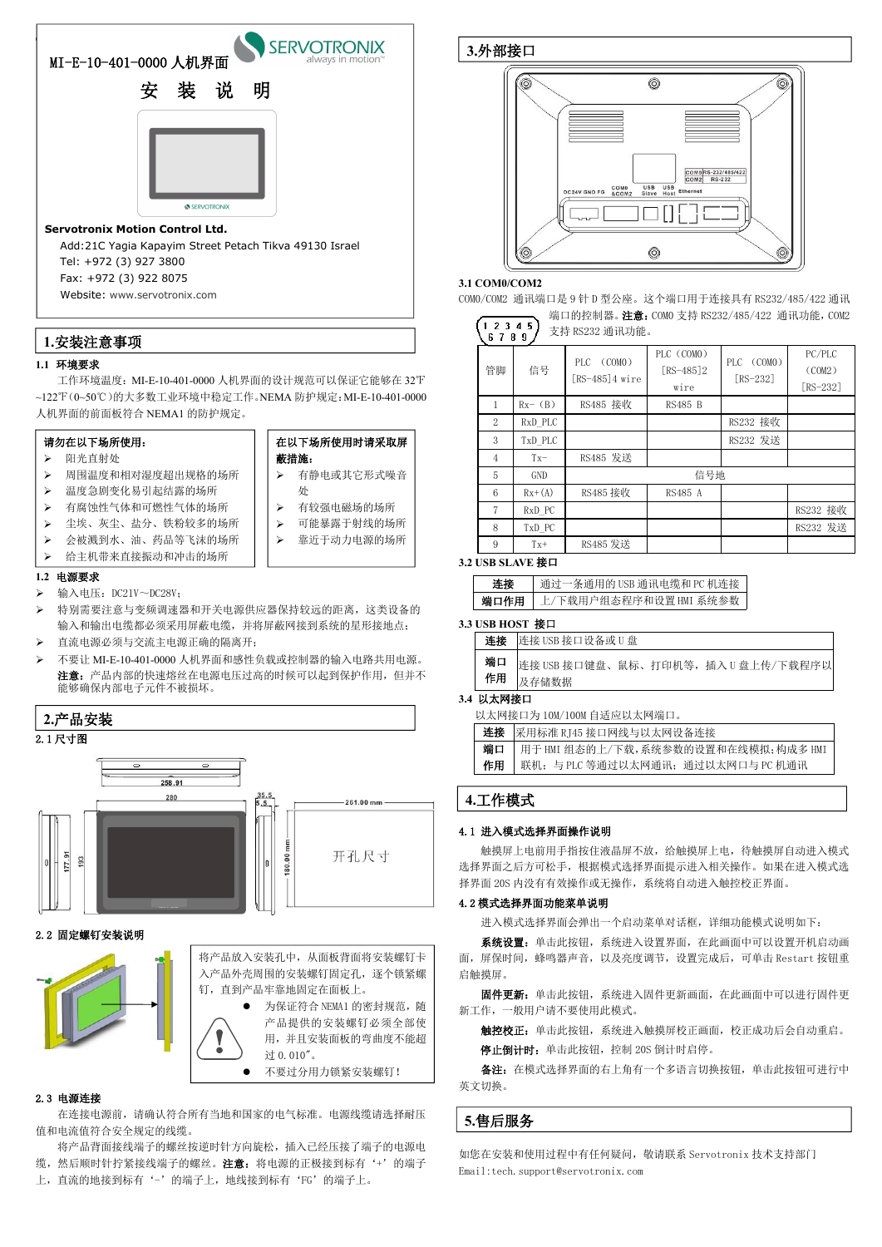#### **1.1** 环境要求

工作环境温度:MI-E-10-401-0000 人机界面的设计规范可以保证它能够在 32℉ ~122℉(0~50℃)的大多数工业环境中稳定工作。NEMA 防护规定:MI-E-10-401-0000 人机界面的前面板符合 NEMA1 的防护规定。

#### **1.2** 电源要求

- ▶ 输入电压: DC21V~DC28V;
- 特别需要注意与变频调速器和开关电源供应器保持较远的距离,这类设备的 输入和输出电缆都必须采用屏蔽电缆,并将屏蔽网接到系统的星形接地点;
- 直流电源必须与交流主电源正确的隔离开;
- 不要让 MI-E-10-401-0000 人机界面和感性负载或控制器的输入电路共用电源。 注意: 产品内部的快速熔丝在电源电压过高的时候可以起到保护作用, 但并不 能够确保内部电子元件不被损坏。

将产品背面接线端子的螺丝按逆时针方向旋松,插入已经压接了端子的电源电 缆, 然后顺时针拧紧接线端子的螺丝。注意: 将电源的正极接到标有'+'的端子 上,直流的地接到标有'-'的端子上,地线接到标有'FG'的端子上。

#### 2.1 尺寸图



#### 2.2 固定螺钉安装说明

|      | 在以下场所使用时请采取屏         |
|------|----------------------|
| 蔽措施: |                      |
| ÷    | ———————————————————— |

#### 2.3 电源连接

在连接电源前,请确认符合所有当地和国家的电气标准。电源线缆请选择耐压 值和电流值符合安全规定的线缆。

 $\bullet$ 

触摸屏上电前用手指按住液晶屏不放,给触摸屏上电,待触摸屏自动进入模式 选择界面之后方可松手,根据模式选择界面提示进入相关操作。如果在进入模式选 择界面 20S 内没有有效操作或无操作, 系统将自动进入触控校正界面。

**3.1 COM0/COM2**

 $(12345)$ 

COM0/COM2 通讯端口是 9 针 D 型公座。这个端口用于连接具有 RS232/485/422 通讯

端口的控制器。注意: COMO 支持 RS232/485/422 通讯功能, COM2

#### **3.2 USB SLAVE** 接口

#### **3.3 USB HOST** 接口

| 连接       | 连接 USB 接口设备或 U 盘                             |  |
|----------|----------------------------------------------|--|
| 端口<br>作用 | 连接 USB 接口键盘、鼠标、打印机等, 插入 U 盘上传/下载程序以<br>及存储数据 |  |

#### **3.4** 以太网接口

以太网接口为 10M/100M 自适应以太网端口。

| 连接 | 采用标准 RJ45 接口网线与以太网设备连接               |  |
|----|--------------------------------------|--|
| 端口 | 用于 HMI 组态的上/下载,系统参数的设置和在线模拟;构成多 HMI  |  |
| 作用 | 联机:<br>与 PLC 等通过以太网通讯;通过以太网口与 PC 机通讯 |  |

#### 4.1 进入模式选择界面操作说明



### 4.2 模式选择界面功能菜单说明

进入模式选择界面会弹出一个启动菜单对话框,详细功能模式说明如下: 系统设置: 单击此按钮, 系统进入设置界面, 在此画面中可以设置开机启动画 面,屏保时间,蜂鸣器声音,以及亮度调节,设置完成后,可单击 Restart 按钮重 启触摸屏。

● 为保证符合 NEMA1 的密封规范, 随 产品提供的安装螺钉必须全部使 用,并且安装面板的弯曲度不能超 过 0.010"。

| 12345<br>支持 RS232 通讯功能。<br>6789 |           |                                |                                    |                        |                                  |  |  |
|---------------------------------|-----------|--------------------------------|------------------------------------|------------------------|----------------------------------|--|--|
| 管脚                              | 信号        | PLC (COMO)<br>$[RS-485]4 wire$ | PLC (COMO)<br>[RS-485] $2$<br>wire | PLC (COMO)<br>[RS-232] | PC/PLC<br>(COM2)<br>[ $RS-232$ ] |  |  |
| $\mathbf{1}$                    | $Rx-$ (B) | RS485 接收                       | RS485 B                            |                        |                                  |  |  |
| 2                               | RxD_PLC   |                                |                                    | RS232 接收               |                                  |  |  |
| 3                               | TxD_PLC   |                                |                                    | RS232 发送               |                                  |  |  |
| $\overline{4}$                  | $Tx-$     | RS485 发送                       |                                    |                        |                                  |  |  |
| $\overline{5}$                  | GND       |                                | 信号地                                |                        |                                  |  |  |
| $6\phantom{1}6$                 | $Rx+(A)$  | RS485 接收                       | RS485 A                            |                        |                                  |  |  |
| $\overline{7}$                  | RxD PC    |                                |                                    |                        | RS232 接收                         |  |  |
| 8                               | TxD PC    |                                |                                    |                        | RS232 发送                         |  |  |
| 9                               | $Tx+$     | RS485 发送                       |                                    |                        |                                  |  |  |

固件更新:单击此按钮,系统进入固件更新画面,在此画面中可以进行固件更 新工作,一般用户请不要使用此模式。

触控校正:单击此按钮,系统进入触摸屏校正画面,校正成功后会自动重启。

停止倒计时: 单击此按钮, 控制 20S 倒计时启停。

备注:在模式选择界面的右上角有一个多语言切换按钮,单击此按钮可进行中 英文切换。

如您在安装和使用过程中有任何疑问,敬请联系 Servotronix 技术支持部门 Email[:tech.support@servotronix.com](mailto:tech.support@servotronix.com)

| 连接   | ·条通用的 USB 通讯电缆和 PC 机连接<br>通过 |
|------|------------------------------|
| 端口作用 | 『户组态程序和设置 HMI 系统参数<br>下载用    |

## **1.**安装注意事项

## **2.**产品安装

**3.**外部接口





# 蔽措施:



- 有静电或其它形式噪音 处 1 6 1 6 1
- 有较强电磁场的场所
- 可能暴露于射线的场所
- 靠近于动力电源的场所

#### 请勿在以下场所使用:

- 阳光直射处
- 周围温度和相对湿度超出规格的场所
- ▶ 温度急剧变化易引起结露的场所 | │ │ │ 处
- 有腐蚀性气体和可燃性气体的场所
- 尘埃、灰尘、盐分、铁粉较多的场所
- 会被溅到水、油、药品等飞沫的场所
- 给主机带来直接振动和冲击的场所

## **5.**售后服务

将产品放入安装孔中,从面板背面将安装螺钉卡 入产品外壳周围的安装螺钉固定孔,逐个锁紧螺 钉,直到产品牢靠地固定在面板上。

不要过分用力锁紧安装螺钉!

## **4.**工作模式